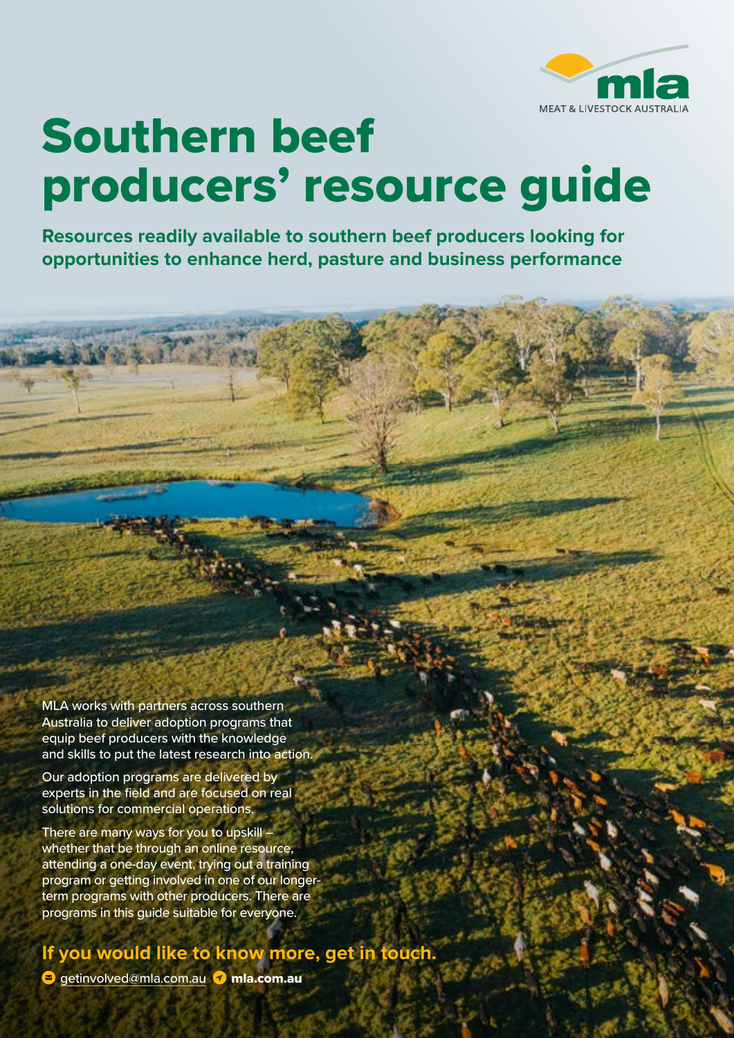

# Southern beef producers' resource guide

**Resources readily available to southern beef producers looking for opportunities to enhance herd, pasture and business performance**

MLA works with partners across southern Australia to deliver adoption programs that equip beef producers with the knowledge and skills to put the latest research into action.

Our adoption programs are delivered by experts in the field and are focused on real solutions for commercial operations.

There are many ways for you to upskill – whether that be through an online resource, attending a one-day event, trying out a training program or getting involved in one of our longerterm programs with other producers. There are programs in this guide suitable for everyone.

## **If you would like to know more, get in touch.**

**E** getinvolved[@mla.com.au](mailto:hbawden%40mla.com.au?subject=) *mla.com.au*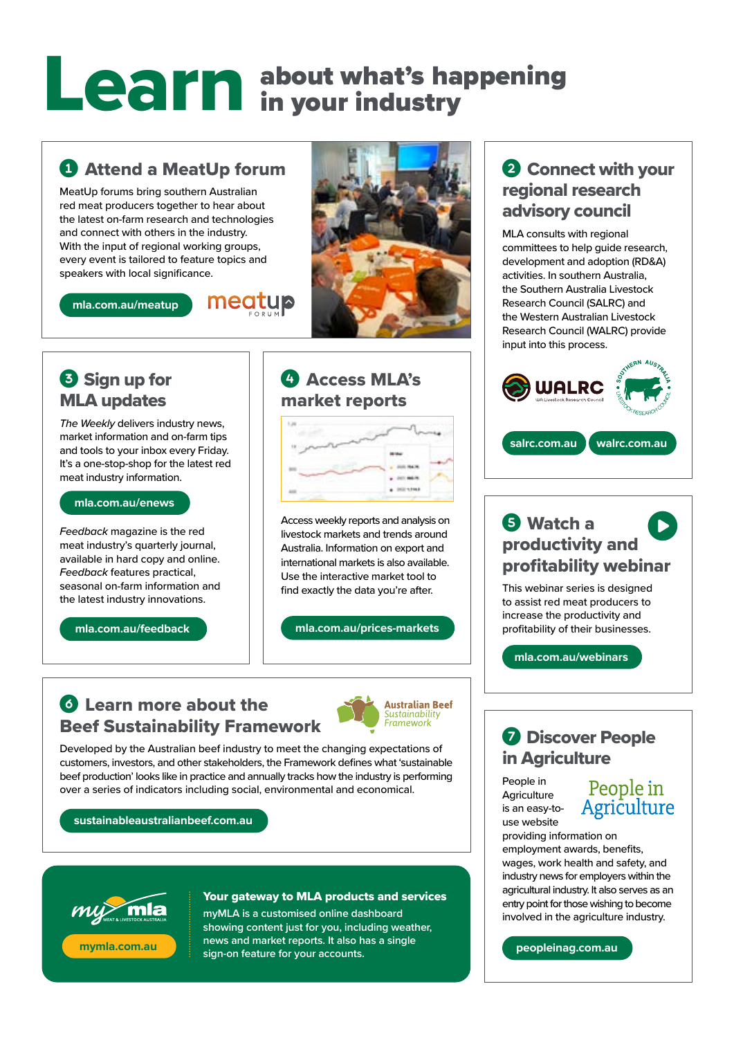# about what's happening in your industry Learn

## **Q Attend a MeatUp forum**

MeatUp forums bring southern Australian red meat producers together to hear about the latest on-farm research and technologies and connect with others in the industry. With the input of regional working groups, every event is tailored to feature topics and speakers with local significance.

**[mla.com.au/meatup](https://www.mla.com.au/meatup)**





*The Weekly* delivers industry news, market information and on-farm tips and tools to your inbox every Friday. It's a one-stop-shop for the latest red meat industry information.

#### **[mla.com.au/enews](https://www.mla.com.au/enews)**

*Feedback* magazine is the red meat industry's quarterly journal, available in hard copy and online. *Feedback* features practical, seasonal on-farm information and the latest industry innovations.

**[mla.com.au/feedback](https://www.mla.com.au/feedback)**



### **@ Access MLA's** market reports



Access weekly reports and analysis on livestock markets and trends around Australia. Information on export and international markets is also available. Use the interactive market tool to find exactly the data you're after.

#### **[mla.com.au/prices-markets](https://www.mla.com.au/prices-markets)**

#### **C** Learn more about the Beef Sustainability Framework



Developed by the Australian beef industry to meet the changing expectations of customers, investors, and other stakeholders, the Framework defines what 'sustainable beef production' looks like in practice and annually tracks how the industry is performing over a series of indicators including social, environmental and economical.

#### **[sustainableaustralianbeef.com.au](https://www.sustainableaustralianbeef.com.au)**



#### Your gateway to MLA products and services

**myMLA is a customised online dashboard showing content just for you, including weather, news and market reports. It also has a single sign‑on feature for your accounts.**

#### 2 Connect with your regional research advisory council

MLA consults with regional committees to help guide research, development and adoption (RD&A) activities. In southern Australia, the Southern Australia Livestock Research Council (SALRC) and the Western Australian Livestock Research Council (WALRC) provide input into this process.



#### **G** Watch a productivity and profitability webinar  $\bullet$

This webinar series is designed to assist red meat producers to increase the productivity and profitability of their businesses.

**[mla.com.au/webinars](http://www.mla.com.au/webinars)**

#### **Q** Discover People in Agriculture

People in **Agriculture** is an easy-touse website

# People in<br>Agriculture

providing information on employment awards, benefits, wages, work health and safety, and industry news for employers within the agricultural industry. It also serves as an entry point for those wishing to become involved in the agriculture industry.

**[peopleinag.com.au](https://www.peopleinag.com.au)**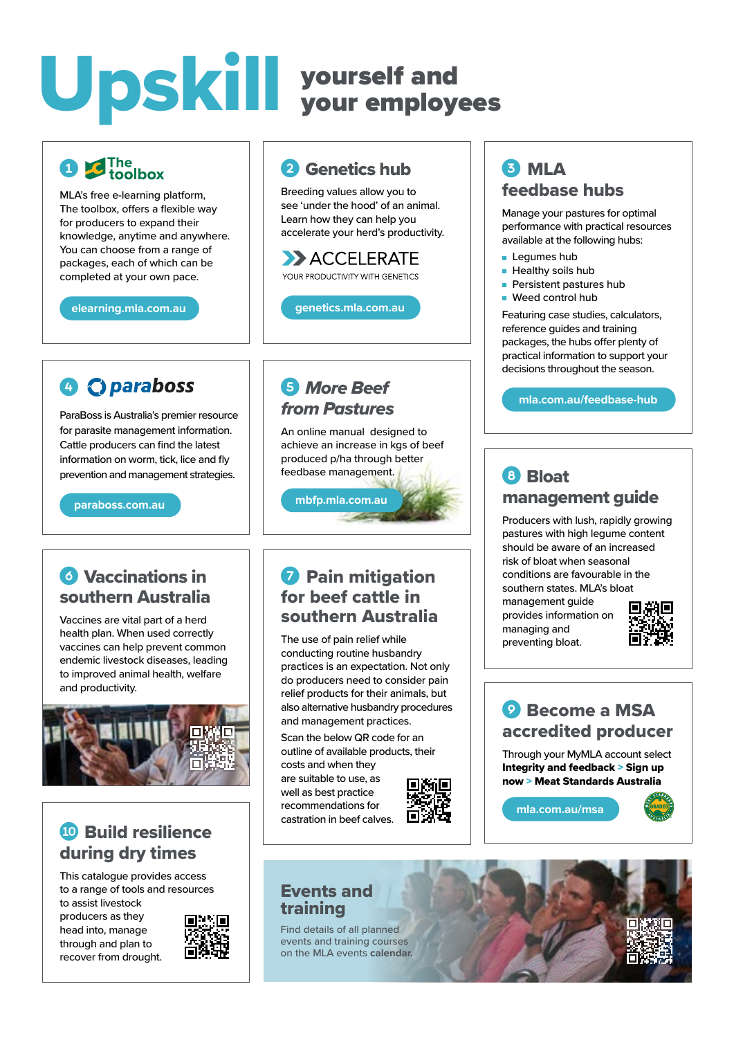# Upskill yourself and your employees

# $\epsilon$ The<br>toolbox

MLA's free e-learning platform, The toolbox, offers a flexible way for producers to expand their knowledge, anytime and anywhere. You can choose from a range of packages, each of which can be completed at your own pace.

**[elearning.mla.com.au](https://elearning.mla.com.au)**

# **G** C<sub>D</sub> paraboss

ParaBoss is Australia's premier resource for parasite management information. Cattle producers can find the latest information on worm, tick, lice and fly prevention and management strategies.

#### **[paraboss.com.au](https://www.paraboss.com.au)**

#### **6** Vaccinations in southern Australia

Vaccines are vital part of a herd health plan. When used correctly vaccines can help prevent common endemic livestock diseases, leading to improved animal health, welfare and productivity.



#### **10 Build resilience** during dry times

This catalogue provides access to a range of tools and resources to assist livestock

producers as they head into, manage through and plan to recover from drought.



#### **2** Genetics hub

Breeding values allow you to see 'under the hood' of an animal. Learn how they can help you accelerate your herd's productivity.

#### ACCELERATE YOUR PRODUCTIVITY WITH GENETICS

**[genetics.mla.com.au](https://genetics.mla.com.au)**

#### **6** *More Beef from Pastures*

**[mbfp.mla.com.au](https://mbfp.mla.com.au)**

An online manual designed to achieve an increase in kgs of beef produced p/ha through better feedbase management.

 $\sim 1000$ 

#### **Q** Pain mitigation for beef cattle in southern Australia

The use of pain relief while conducting routine husbandry practices is an expectation. Not only do producers need to consider pain relief products for their animals, but also alternative husbandry procedures and management practices.

Scan the below QR code for an outline of available products, their costs and when they are suitable to use, as

well as best practice recommendations for castration in beef calves.



#### Events and training

Find details of all planned events and training courses on the MLA events **calendar.**

#### **63 MLA** feedbase hubs

Manage your pastures for optimal performance with practical resources available at the following hubs:

- Legumes hub
- Healthy soils hub
- Persistent pastures hub
- Weed control hub

Featuring case studies, calculators, reference guides and training packages, the hubs offer plenty of practical information to support your decisions throughout the season.

**[mla.com.au/feedbase-hub](https://www.mla.com.au/feedbase-hub)**

#### **8** Bloat management guide

Producers with lush, rapidly growing pastures with high legume content should be aware of an increased risk of bloat when seasonal conditions are favourable in the southern states. MLA's bl[oat](https://www.mla.com.au/research-and-development/animal-health-welfare-and-biosecurity/diseases/nutritional/bloat/) 

management guide provides information on managing and preventing bloat.



#### **O** Become a MSA accredited producer

Through your MyMLA account select Integrity and feedback > Sign up now > Meat Standards Australia

**[mla.com.au/msa](https://www.mla.com.au/msa)**